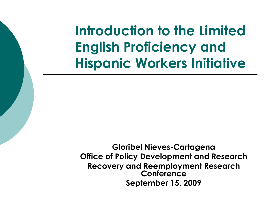**Introduction to the Limited English Proficiency and Hispanic Workers Initiative**

**Gloribel Nieves-Cartagena Office of Policy Development and Research Recovery and Reemployment Research Conference September 15, 2009**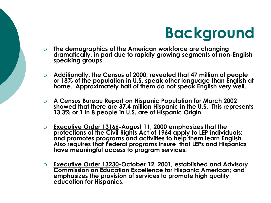

- **The demographics of the American workforce are changing dramatically, in part due to rapidly growing segments of non-English speaking groups.**
- **Additionally, the Census of 2000, revealed that 47 million of people or 18% of the population in U.S. speak other language than English at home. Approximately half of them do not speak English very well.**
- **A Census Bureau Report on Hispanic Population for March 2002 showed that there are 37.4 million Hispanic in the U.S. This represents 13.3% or 1 in 8 people in U.S. are of Hispanic Origin.**
- **Executive Order 13166-August 11, 2000 emphasizes that the protections of the Civil Rights Act of 1964 apply to LEP individuals; and promotes programs and activities to help them learn English. Also requires that Federal programs insure that LEPs and Hispanics have meaningful access to program services.**
- **Executive Order 13230-October 12, 2001, established and Advisory Commission on Education Excellence for Hispanic American; and emphasizes the provision of services to promote high quality education for Hispanics.**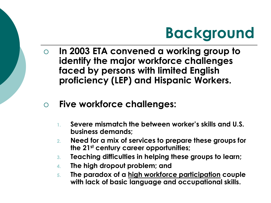

- **In 2003 ETA convened a working group to identify the major workforce challenges faced by persons with limited English proficiency (LEP) and Hispanic Workers.**
- **Five workforce challenges:**
	- **1. Severe mismatch the between worker's skills and U.S. business demands;**
	- **2. Need for a mix of services to prepare these groups for the 21st century career opportunities;**
	- **3. Teaching difficulties in helping these groups to learn;**
	- **4. The high dropout problem; and**
	- **5. The paradox of a high workforce participation couple with lack of basic language and occupational skills.**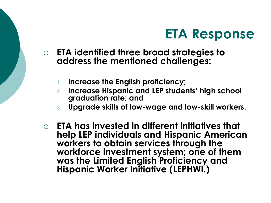## **ETA Response**

- **ETA identified three broad strategies to address the mentioned challenges:**
	- **1. Increase the English proficiency;**
	- **2. Increase Hispanic and LEP students' high school graduation rate; and**
	- **3. Upgrade skills of low-wage and low-skill workers.**
- **ETA has invested in different initiatives that help LEP individuals and Hispanic American workers to obtain services through the workforce investment system; one of them was the Limited English Proficiency and Hispanic Worker Initiative (LEPHWI.)**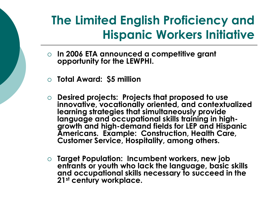## **The Limited English Proficiency and Hispanic Workers Initiative**

- **In 2006 ETA announced a competitive grant opportunity for the LEWPHI.**
- **Total Award: \$5 million**
- **Desired projects: Projects that proposed to use innovative, vocationally oriented, and contextualized learning strategies that simultaneously provide language and occupational skills training in highgrowth and high-demand fields for LEP and Hispanic Americans. Example: Construction, Health Care, Customer Service, Hospitality, among others.**
- **Target Population: Incumbent workers, new job entrants or youth who lack the language, basic skills and occupational skills necessary to succeed in the 21st century workplace.**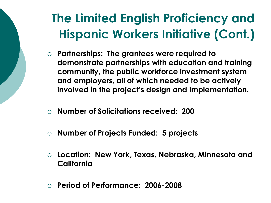## **The Limited English Proficiency and Hispanic Workers Initiative (Cont.)**

- **Partnerships: The grantees were required to demonstrate partnerships with education and training community, the public workforce investment system and employers, all of which needed to be actively involved in the project's design and implementation.**
- **Number of Solicitations received: 200**
- **Number of Projects Funded: 5 projects**
- **Location: New York, Texas, Nebraska, Minnesota and California**
- **Period of Performance: 2006-2008**